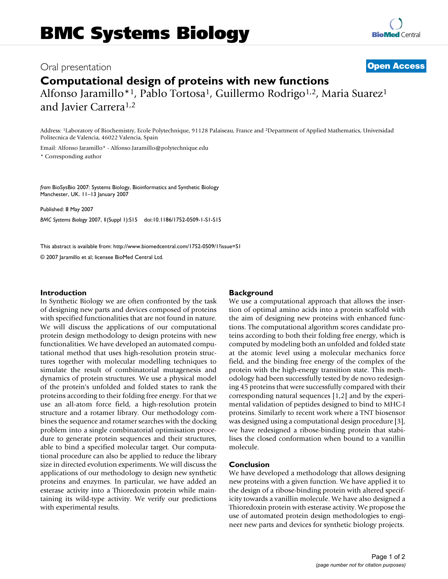# Oral presentation **[Open Access](http://www.biomedcentral.com/info/about/charter/)**

**Computational design of proteins with new functions** Alfonso Jaramillo\*<sup>1</sup>, Pablo Tortosa<sup>1</sup>, Guillermo Rodrigo<sup>1,2</sup>, Maria Suarez<sup>1</sup> and Javier Carrera1,2

Address: 1Laboratory of Biochemistry, Ecole Polytechnique, 91128 Palaiseau, France and 2Department of Applied Mathematics, Universidad Politecnica de Valencia, 46022 Valencia, Spain

Email: Alfonso Jaramillo\* - Alfonso.Jaramillo@polytechnique.edu \* Corresponding author

*from* BioSysBio 2007: Systems Biology, Bioinformatics and Synthetic Biology Manchester, UK. 11–13 January 2007

Published: 8 May 2007 *BMC Systems Biology* 2007, **1**(Suppl 1):S15 doi:10.1186/1752-0509-1-S1-S15

[This abstract is available from: http://www.biomedcentral.com/1752-0509/1?issue=S1](http://www.biomedcentral.com/1752-0509/1?issue=S1)

© 2007 Jaramillo et al; licensee BioMed Central Ltd.

#### **Introduction**

In Synthetic Biology we are often confronted by the task of designing new parts and devices composed of proteins with specified functionalities that are not found in nature. We will discuss the applications of our computational protein design methodology to design proteins with new functionalities. We have developed an automated computational method that uses high-resolution protein structures together with molecular modelling techniques to simulate the result of combinatorial mutagenesis and dynamics of protein structures. We use a physical model of the protein's unfolded and folded states to rank the proteins according to their folding free energy. For that we use an all-atom force field, a high-resolution protein structure and a rotamer library. Our methodology combines the sequence and rotamer searches with the docking problem into a single combinatorial optimisation procedure to generate protein sequences and their structures, able to bind a specified molecular target. Our computational procedure can also be applied to reduce the library size in directed evolution experiments. We will discuss the applications of our methodology to design new synthetic proteins and enzymes. In particular, we have added an esterase activity into a Thioredoxin protein while maintaining its wild-type activity. We verify our predictions with experimental results.

### **Background**

We use a computational approach that allows the insertion of optimal amino acids into a protein scaffold with the aim of designing new proteins with enhanced functions. The computational algorithm scores candidate proteins according to both their folding free energy, which is computed by modeling both an unfolded and folded state at the atomic level using a molecular mechanics force field, and the binding free energy of the complex of the protein with the high-energy transition state. This methodology had been successfully tested by de novo redesigning 45 proteins that were successfully compared with their corresponding natural sequences [1,2] and by the experimental validation of peptides designed to bind to MHC-I proteins. Similarly to recent work where a TNT biosensor was designed using a computational design procedure [3], we have redesigned a ribose-binding protein that stabilises the closed conformation when bound to a vanillin molecule.

#### **Conclusion**

We have developed a methodology that allows designing new proteins with a given function. We have applied it to the design of a ribose-binding protein with altered specificity towards a vanillin molecule. We have also designed a Thioredoxin protein with esterase activity. We propose the use of automated protein design methodologies to engineer new parts and devices for synthetic biology projects.